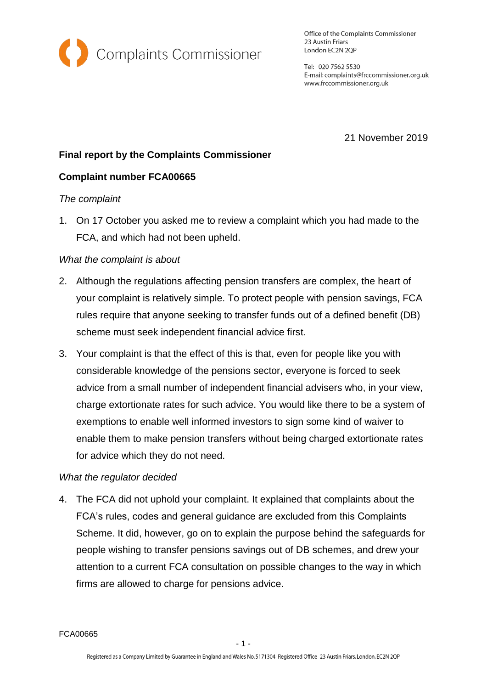

Office of the Complaints Commissioner 23 Austin Friars London EC2N 2QP

Tel: 020 7562 5530 E-mail: complaints@frccommissioner.org.uk www.frccommissioner.org.uk

21 November 2019

# **Final report by the Complaints Commissioner**

## **Complaint number FCA00665**

## *The complaint*

1. On 17 October you asked me to review a complaint which you had made to the FCA, and which had not been upheld.

## *What the complaint is about*

- 2. Although the regulations affecting pension transfers are complex, the heart of your complaint is relatively simple. To protect people with pension savings, FCA rules require that anyone seeking to transfer funds out of a defined benefit (DB) scheme must seek independent financial advice first.
- 3. Your complaint is that the effect of this is that, even for people like you with considerable knowledge of the pensions sector, everyone is forced to seek advice from a small number of independent financial advisers who, in your view, charge extortionate rates for such advice. You would like there to be a system of exemptions to enable well informed investors to sign some kind of waiver to enable them to make pension transfers without being charged extortionate rates for advice which they do not need.

## *What the regulator decided*

4. The FCA did not uphold your complaint. It explained that complaints about the FCA's rules, codes and general guidance are excluded from this Complaints Scheme. It did, however, go on to explain the purpose behind the safeguards for people wishing to transfer pensions savings out of DB schemes, and drew your attention to a current FCA consultation on possible changes to the way in which firms are allowed to charge for pensions advice.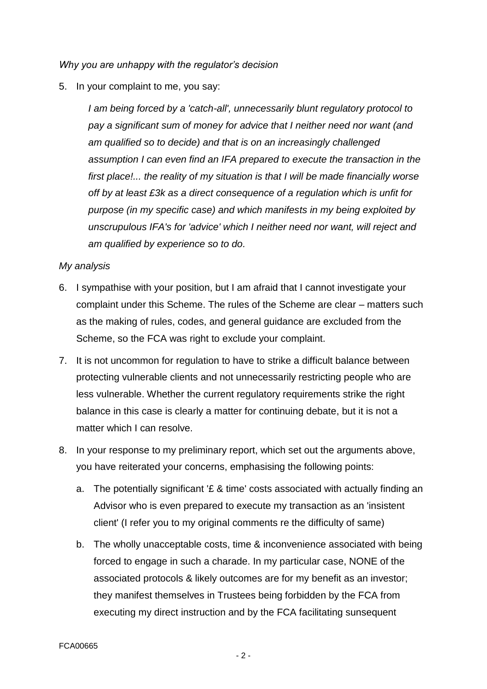*Why you are unhappy with the regulator's decision*

5. In your complaint to me, you say:

*I am being forced by a 'catch-all', unnecessarily blunt regulatory protocol to pay a significant sum of money for advice that I neither need nor want (and am qualified so to decide) and that is on an increasingly challenged assumption I can even find an IFA prepared to execute the transaction in the first place!... the reality of my situation is that I will be made financially worse off by at least £3k as a direct consequence of a regulation which is unfit for purpose (in my specific case) and which manifests in my being exploited by unscrupulous IFA's for 'advice' which I neither need nor want, will reject and am qualified by experience so to do.*

#### *My analysis*

- 6. I sympathise with your position, but I am afraid that I cannot investigate your complaint under this Scheme. The rules of the Scheme are clear – matters such as the making of rules, codes, and general guidance are excluded from the Scheme, so the FCA was right to exclude your complaint.
- 7. It is not uncommon for regulation to have to strike a difficult balance between protecting vulnerable clients and not unnecessarily restricting people who are less vulnerable. Whether the current regulatory requirements strike the right balance in this case is clearly a matter for continuing debate, but it is not a matter which I can resolve.
- 8. In your response to my preliminary report, which set out the arguments above, you have reiterated your concerns, emphasising the following points:
	- a. The potentially significant '£ & time' costs associated with actually finding an Advisor who is even prepared to execute my transaction as an 'insistent client' (I refer you to my original comments re the difficulty of same)
	- b. The wholly unacceptable costs, time & inconvenience associated with being forced to engage in such a charade. In my particular case, NONE of the associated protocols & likely outcomes are for my benefit as an investor; they manifest themselves in Trustees being forbidden by the FCA from executing my direct instruction and by the FCA facilitating sunsequent